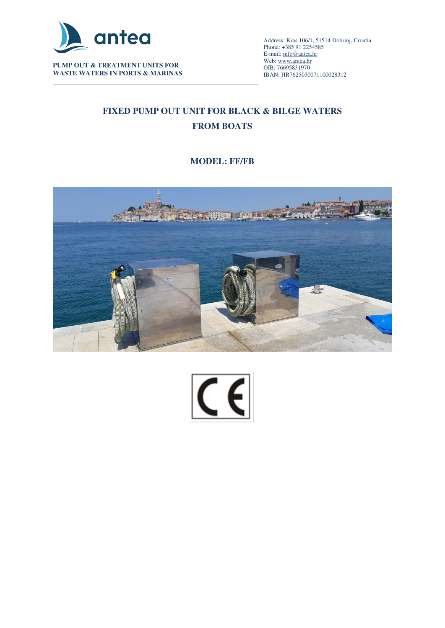

**PUMP OUT & TREATMENT UNITS FOR WASTE WATERS IN PORTS & MARINAS** 

\_\_\_\_\_\_\_\_\_\_\_\_\_\_\_\_\_\_\_\_\_\_\_\_\_\_\_\_\_\_\_\_\_\_\_\_\_\_\_\_\_\_\_\_\_\_\_\_\_\_\_\_\_\_\_\_\_\_\_\_\_\_\_\_\_\_\_\_\_\_\_\_\_\_\_\_\_\_\_\_\_\_\_\_\_\_\_\_\_\_ Address: Kras 106/1, 51514 Dobrinj, Croatia Phone: +385 91 2254585 E-mail[: info@antea.hr](mailto:info@antea.hr) Web: www.antea.hr OIB: 76695831970 IBAN: HR7625030071100028312

# **FIXED PUMP OUT UNIT FOR BLACK & BILGE WATERS FROM BOATS**

### **MODEL: FF/FB**



 $\overline{\mathsf{C}}$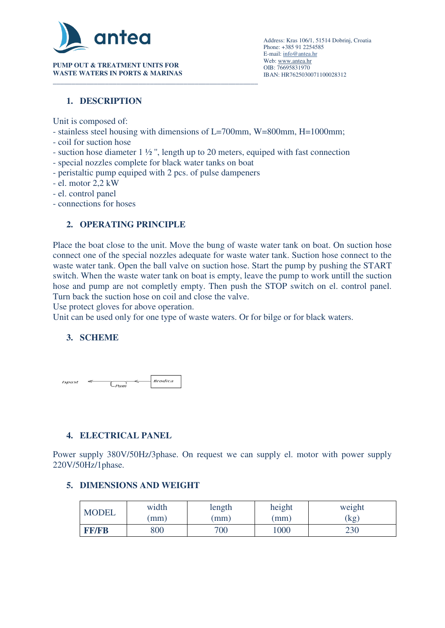

**PUMP OUT & TREATMENT UNITS FOR WASTE WATERS IN PORTS & MARINAS** 

### **1. DESCRIPTION**

Unit is composed of:

- stainless steel housing with dimensions of L=700mm, W=800mm, H=1000mm;
- coil for suction hose
- suction hose diameter 1 ½ '', length up to 20 meters, equiped with fast connection
- special nozzles complete for black water tanks on boat
- peristaltic pump equiped with 2 pcs. of pulse dampeners
- el. motor 2,2 kW
- el. control panel
- connections for hoses

### **2. OPERATING PRINCIPLE**

Place the boat close to the unit. Move the bung of waste water tank on boat. On suction hose connect one of the special nozzles adequate for waste water tank. Suction hose connect to the waste water tank. Open the ball valve on suction hose. Start the pump by pushing the START switch. When the waste water tank on boat is empty, leave the pump to work untill the suction hose and pump are not completly empty. Then push the STOP switch on el. control panel. Turn back the suction hose on coil and close the valve.

Use protect gloves for above operation.

Unit can be used only for one type of waste waters. Or for bilge or for black waters.

## **3. SCHEME**



## **4. ELECTRICAL PANEL**

Power supply 380V/50Hz/3phase. On request we can supply el. motor with power supply 220V/50Hz/1phase.

#### **5. DIMENSIONS AND WEIGHT**

| <b>MODEL</b> | width | length | height | weight |
|--------------|-------|--------|--------|--------|
|              | (mm)  | (mm)   | (mm)   | (kg)   |
| <b>FF/FB</b> | 800   | 700    | 1000   | 230    |